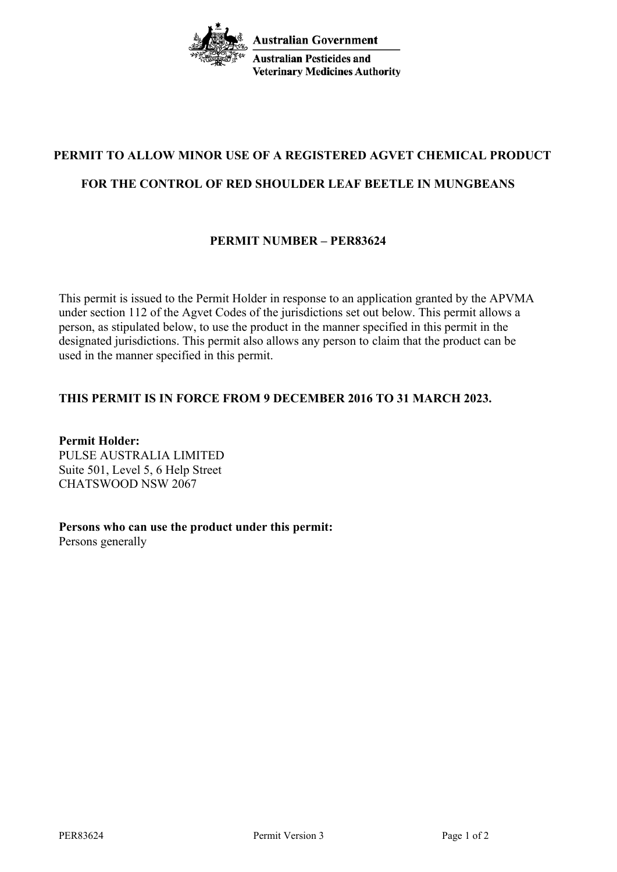**Australian Government Australian Pesticides and Veterinary Medicines Authority** 

# **PERMIT TO ALLOW MINOR USE OF A REGISTERED AGVET CHEMICAL PRODUCT FOR THE CONTROL OF RED SHOULDER LEAF BEETLE IN MUNGBEANS**

# **PERMIT NUMBER – PER83624**

This permit is issued to the Permit Holder in response to an application granted by the APVMA under section 112 of the Agvet Codes of the jurisdictions set out below. This permit allows a person, as stipulated below, to use the product in the manner specified in this permit in the designated jurisdictions. This permit also allows any person to claim that the product can be used in the manner specified in this permit.

# **THIS PERMIT IS IN FORCE FROM 9 DECEMBER 2016 TO 31 MARCH 2023.**

**Permit Holder:** PULSE AUSTRALIA LIMITED Suite 501, Level 5, 6 Help Street CHATSWOOD NSW 2067

**Persons who can use the product under this permit:** Persons generally